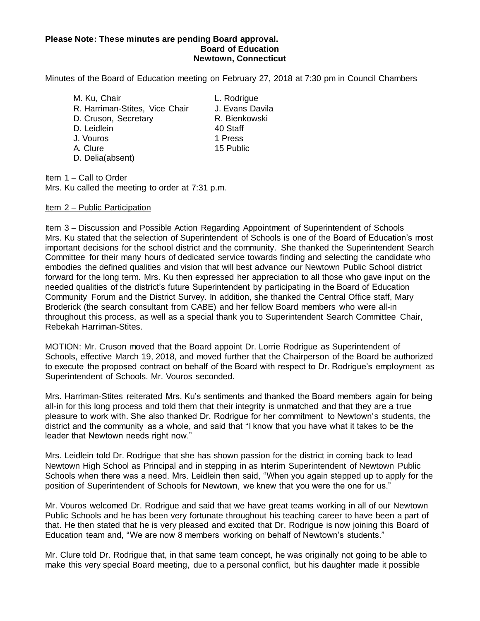## **Please Note: These minutes are pending Board approval. Board of Education Newtown, Connecticut**

Minutes of the Board of Education meeting on February 27, 2018 at 7:30 pm in Council Chambers

M. Ku, Chair **L. Rodrigue** R. Harriman-Stites, Vice Chair J. Evans Davila D. Cruson, Secretary R. Bienkowski D. Leidlein 40 Staff J. Vouros 1 Press A. Clure 15 Public D. Delia(absent)

Item 1 – Call to Order Mrs. Ku called the meeting to order at 7:31 p.m.

## Item 2 – Public Participation

Item 3 – Discussion and Possible Action Regarding Appointment of Superintendent of Schools Mrs. Ku stated that the selection of Superintendent of Schools is one of the Board of Education's most important decisions for the school district and the community. She thanked the Superintendent Search Committee for their many hours of dedicated service towards finding and selecting the candidate who embodies the defined qualities and vision that will best advance our Newtown Public School district forward for the long term. Mrs. Ku then expressed her appreciation to all those who gave input on the needed qualities of the district's future Superintendent by participating in the Board of Education Community Forum and the District Survey. In addition, she thanked the Central Office staff, Mary Broderick (the search consultant from CABE) and her fellow Board members who were all-in throughout this process, as well as a special thank you to Superintendent Search Committee Chair, Rebekah Harriman-Stites.

MOTION: Mr. Cruson moved that the Board appoint Dr. Lorrie Rodrigue as Superintendent of Schools, effective March 19, 2018, and moved further that the Chairperson of the Board be authorized to execute the proposed contract on behalf of the Board with respect to Dr. Rodrigue's employment as Superintendent of Schools. Mr. Vouros seconded.

Mrs. Harriman-Stites reiterated Mrs. Ku's sentiments and thanked the Board members again for being all-in for this long process and told them that their integrity is unmatched and that they are a true pleasure to work with. She also thanked Dr. Rodrigue for her commitment to Newtown's students, the district and the community as a whole, and said that "I know that you have what it takes to be the leader that Newtown needs right now."

Mrs. Leidlein told Dr. Rodrigue that she has shown passion for the district in coming back to lead Newtown High School as Principal and in stepping in as Interim Superintendent of Newtown Public Schools when there was a need. Mrs. Leidlein then said, "When you again stepped up to apply for the position of Superintendent of Schools for Newtown, we knew that you were the one for us."

Mr. Vouros welcomed Dr. Rodrigue and said that we have great teams working in all of our Newtown Public Schools and he has been very fortunate throughout his teaching career to have been a part of that. He then stated that he is very pleased and excited that Dr. Rodrigue is now joining this Board of Education team and, "We are now 8 members working on behalf of Newtown's students."

Mr. Clure told Dr. Rodrigue that, in that same team concept, he was originally not going to be able to make this very special Board meeting, due to a personal conflict, but his daughter made it possible